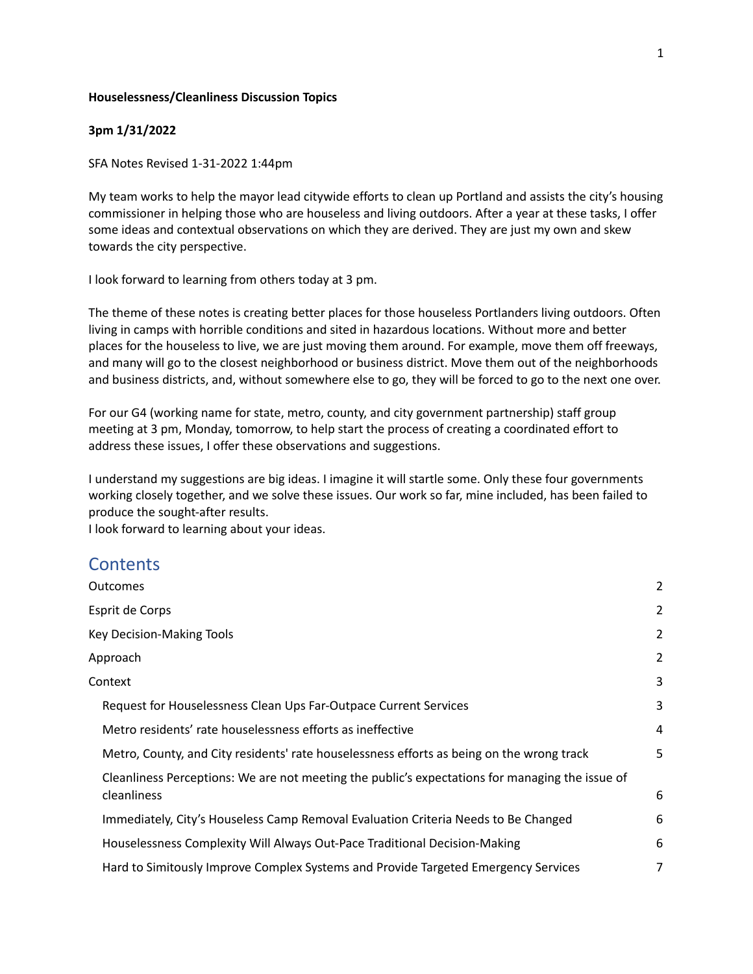### **Houselessness/Cleanliness Discussion Topics**

### **3pm 1/31/2022**

SFA Notes Revised 1-31-2022 1:44pm

My team works to help the mayor lead citywide efforts to clean up Portland and assists the city's housing commissioner in helping those who are houseless and living outdoors. After a year at these tasks, I offer some ideas and contextual observations on which they are derived. They are just my own and skew towards the city perspective.

I look forward to learning from others today at 3 pm.

The theme of these notes is creating better places for those houseless Portlanders living outdoors. Often living in camps with horrible conditions and sited in hazardous locations. Without more and better places for the houseless to live, we are just moving them around. For example, move them off freeways, and many will go to the closest neighborhood or business district. Move them out of the neighborhoods and business districts, and, without somewhere else to go, they will be forced to go to the next one over.

For our G4 (working name for state, metro, county, and city government partnership) staff group meeting at 3 pm, Monday, tomorrow, to help start the process of creating a coordinated effort to address these issues, I offer these observations and suggestions.

I understand my suggestions are big ideas. I imagine it will startle some. Only these four governments working closely together, and we solve these issues. Our work so far, mine included, has been failed to produce the sought-after results.

I look forward to learning about your ideas.

## **Contents**

| <b>Outcomes</b>                                                                                 | 2              |
|-------------------------------------------------------------------------------------------------|----------------|
| Esprit de Corps                                                                                 | 2              |
| <b>Key Decision-Making Tools</b>                                                                | $\overline{2}$ |
| Approach                                                                                        | 2              |
| Context                                                                                         | 3              |
| Request for Houselessness Clean Ups Far-Outpace Current Services                                | 3              |
| Metro residents' rate houselessness efforts as ineffective                                      | 4              |
| Metro, County, and City residents' rate houselessness efforts as being on the wrong track       | 5              |
| Cleanliness Perceptions: We are not meeting the public's expectations for managing the issue of |                |
| cleanliness                                                                                     | 6              |
| Immediately, City's Houseless Camp Removal Evaluation Criteria Needs to Be Changed              | 6              |
| Houselessness Complexity Will Always Out-Pace Traditional Decision-Making                       | 6              |
| Hard to Simitously Improve Complex Systems and Provide Targeted Emergency Services              | 7              |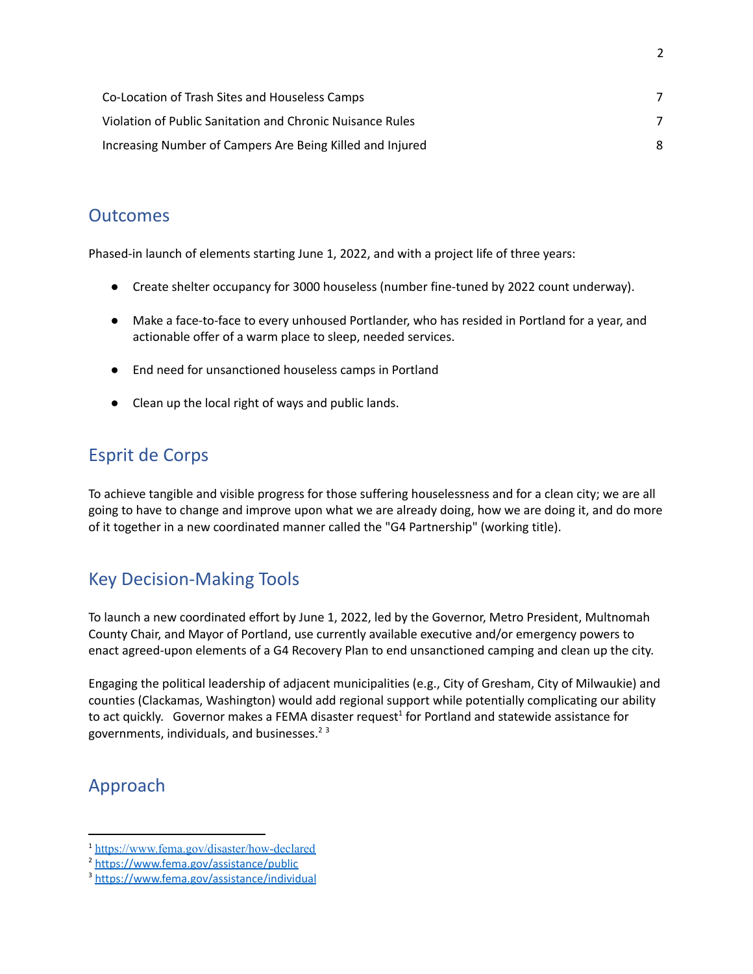| Co-Location of Trash Sites and Houseless Camps            |   |
|-----------------------------------------------------------|---|
| Violation of Public Sanitation and Chronic Nuisance Rules |   |
| Increasing Number of Campers Are Being Killed and Injured | 8 |

## <span id="page-1-0"></span>**Outcomes**

Phased-in launch of elements starting June 1, 2022, and with a project life of three years:

- Create shelter occupancy for 3000 houseless (number fine-tuned by 2022 count underway).
- Make a face-to-face to every unhoused Portlander, who has resided in Portland for a year, and actionable offer of a warm place to sleep, needed services.
- End need for unsanctioned houseless camps in Portland
- Clean up the local right of ways and public lands.

# <span id="page-1-1"></span>Esprit de Corps

To achieve tangible and visible progress for those suffering houselessness and for a clean city; we are all going to have to change and improve upon what we are already doing, how we are doing it, and do more of it together in a new coordinated manner called the "G4 Partnership" (working title).

# <span id="page-1-2"></span>Key Decision-Making Tools

To launch a new coordinated effort by June 1, 2022, led by the Governor, Metro President, Multnomah County Chair, and Mayor of Portland, use currently available executive and/or emergency powers to enact agreed-upon elements of a G4 Recovery Plan to end unsanctioned camping and clean up the city.

Engaging the political leadership of adjacent municipalities (e.g., City of Gresham, City of Milwaukie) and counties (Clackamas, Washington) would add regional support while potentially complicating our ability to act quickly. Governor makes a FEMA disaster request<sup>1</sup> for Portland and statewide assistance for governments, individuals, and businesses. 2 3

# <span id="page-1-3"></span>Approach

<sup>1</sup> <https://www.fema.gov/disaster/how-declared>

<sup>2</sup> <https://www.fema.gov/assistance/public>

<sup>3</sup> <https://www.fema.gov/assistance/individual>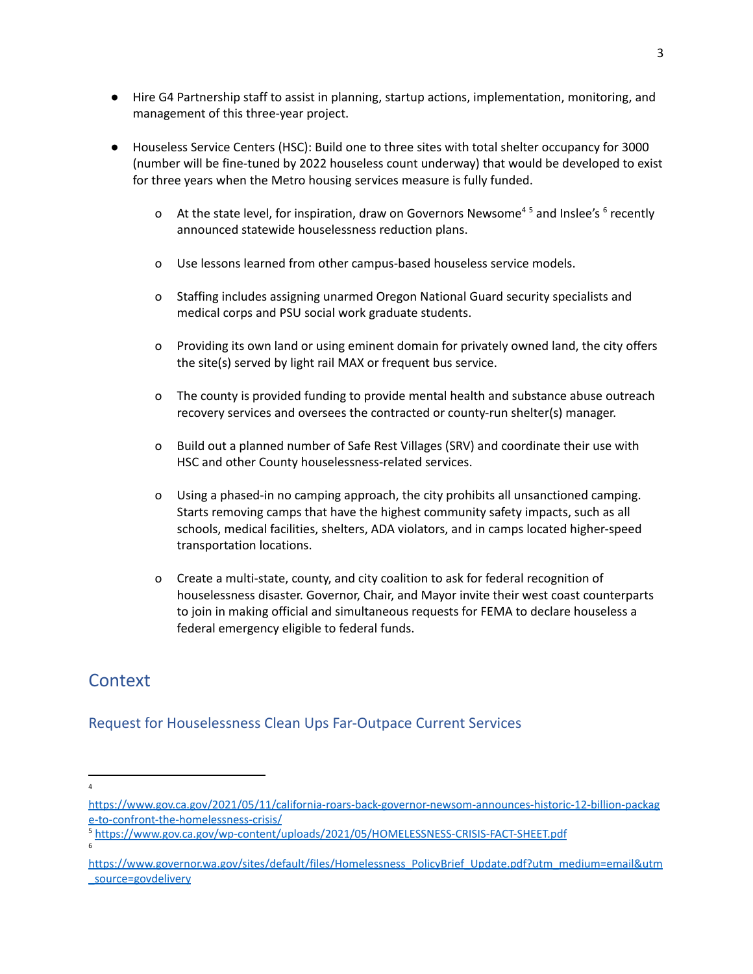- Hire G4 Partnership staff to assist in planning, startup actions, implementation, monitoring, and management of this three-year project.
- Houseless Service Centers (HSC): Build one to three sites with total shelter occupancy for 3000 (number will be fine-tuned by 2022 houseless count underway) that would be developed to exist for three years when the Metro housing services measure is fully funded.
	- o At the state level, for inspiration, draw on Governors Newsome<sup>45</sup> and Inslee's  $6$  recently announced statewide houselessness reduction plans.
	- o Use lessons learned from other campus-based houseless service models.
	- o Staffing includes assigning unarmed Oregon National Guard security specialists and medical corps and PSU social work graduate students.
	- o Providing its own land or using eminent domain for privately owned land, the city offers the site(s) served by light rail MAX or frequent bus service.
	- o The county is provided funding to provide mental health and substance abuse outreach recovery services and oversees the contracted or county-run shelter(s) manager.
	- o Build out a planned number of Safe Rest Villages (SRV) and coordinate their use with HSC and other County houselessness-related services.
	- o Using a phased-in no camping approach, the city prohibits all unsanctioned camping. Starts removing camps that have the highest community safety impacts, such as all schools, medical facilities, shelters, ADA violators, and in camps located higher-speed transportation locations.
	- o Create a multi-state, county, and city coalition to ask for federal recognition of houselessness disaster. Governor, Chair, and Mayor invite their west coast counterparts to join in making official and simultaneous requests for FEMA to declare houseless a federal emergency eligible to federal funds.

# <span id="page-2-0"></span>**Context**

## <span id="page-2-1"></span>Request for Houselessness Clean Ups Far-Outpace Current Services

4

6

[https://www.gov.ca.gov/2021/05/11/california-roars-back-governor-newsom-announces-historic-12-billion-packag](https://www.gov.ca.gov/2021/05/11/california-roars-back-governor-newsom-announces-historic-12-billion-package-to-confront-the-homelessness-crisis/) [e-to-confront-the-homelessness-crisis/](https://www.gov.ca.gov/2021/05/11/california-roars-back-governor-newsom-announces-historic-12-billion-package-to-confront-the-homelessness-crisis/)

<sup>5</sup> <https://www.gov.ca.gov/wp-content/uploads/2021/05/HOMELESSNESS-CRISIS-FACT-SHEET.pdf>

[https://www.governor.wa.gov/sites/default/files/Homelessness\\_PolicyBrief\\_Update.pdf?utm\\_medium=email&utm](https://www.governor.wa.gov/sites/default/files/Homelessness_PolicyBrief_Update.pdf?utm_medium=email&utm_source=govdelivery) [\\_source=govdelivery](https://www.governor.wa.gov/sites/default/files/Homelessness_PolicyBrief_Update.pdf?utm_medium=email&utm_source=govdelivery)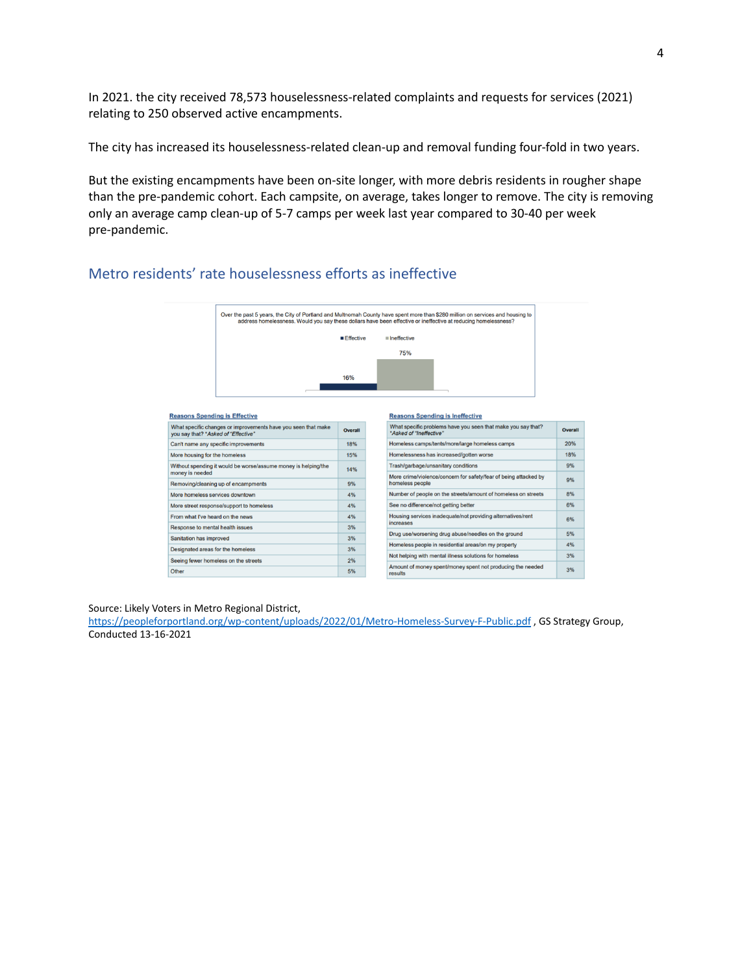In 2021. the city received 78,573 houselessness-related complaints and requests for services (2021) relating to 250 observed active encampments.

The city has increased its houselessness-related clean-up and removal funding four-fold in two years.

But the existing encampments have been on-site longer, with more debris residents in rougher shape than the pre-pandemic cohort. Each campsite, on average, takes longer to remove. The city is removing only an average camp clean-up of 5-7 camps per week last year compared to 30-40 per week pre-pandemic.

## <span id="page-3-0"></span>Metro residents' rate houselessness efforts as ineffective



#### **Reasons Spending is Effective**

| What specific changes or improvements have you seen that make<br>you say that? *Asked of "Effective" | Overall |
|------------------------------------------------------------------------------------------------------|---------|
| Can't name any specific improvements                                                                 | 18%     |
| More housing for the homeless                                                                        | 15%     |
| Without spending it would be worse/assume money is helping/the<br>money is needed                    | 14%     |
| Removing/cleaning up of encampments                                                                  | 9%      |
| More homeless services downtown                                                                      | 4%      |
| More street response/support to homeless                                                             | 4%      |
| From what I've heard on the news                                                                     | 4%      |
| Response to mental health issues                                                                     | 3%      |
| Sanitation has improved                                                                              | 3%      |
| Designated areas for the homeless                                                                    | 3%      |
| Seeing fewer homeless on the streets                                                                 | 2%      |
| Other                                                                                                | 5%      |

#### **Reasons Spending is Ineffective**

| What specific problems have you seen that make you say that?<br>*Asked of "Ineffective" | Overall |
|-----------------------------------------------------------------------------------------|---------|
| Homeless camps/tents/more/large homeless camps                                          | 20%     |
| Homelessness has increased/gotten worse                                                 | 18%     |
| Trash/garbage/unsanitary conditions                                                     | 9%      |
| More crime/violence/concern for safety/fear of being attacked by<br>homeless people     | 9%      |
| Number of people on the streets/amount of homeless on streets                           | 8%      |
| See no difference/not getting better                                                    | 6%      |
| Housing services inadequate/not providing alternatives/rent<br>increases                | 6%      |
| Drug use/worsening drug abuse/needles on the ground                                     | 5%      |
| Homeless people in residential areas/on my property                                     | 4%      |
| Not helping with mental illness solutions for homeless                                  | 3%      |
| Amount of money spent/money spent not producing the needed<br>results                   | 3%      |

Source: Likely Voters in Metro Regional District,

<https://peopleforportland.org/wp-content/uploads/2022/01/Metro-Homeless-Survey-F-Public.pdf> , GS Strategy Group, Conducted 13-16-2021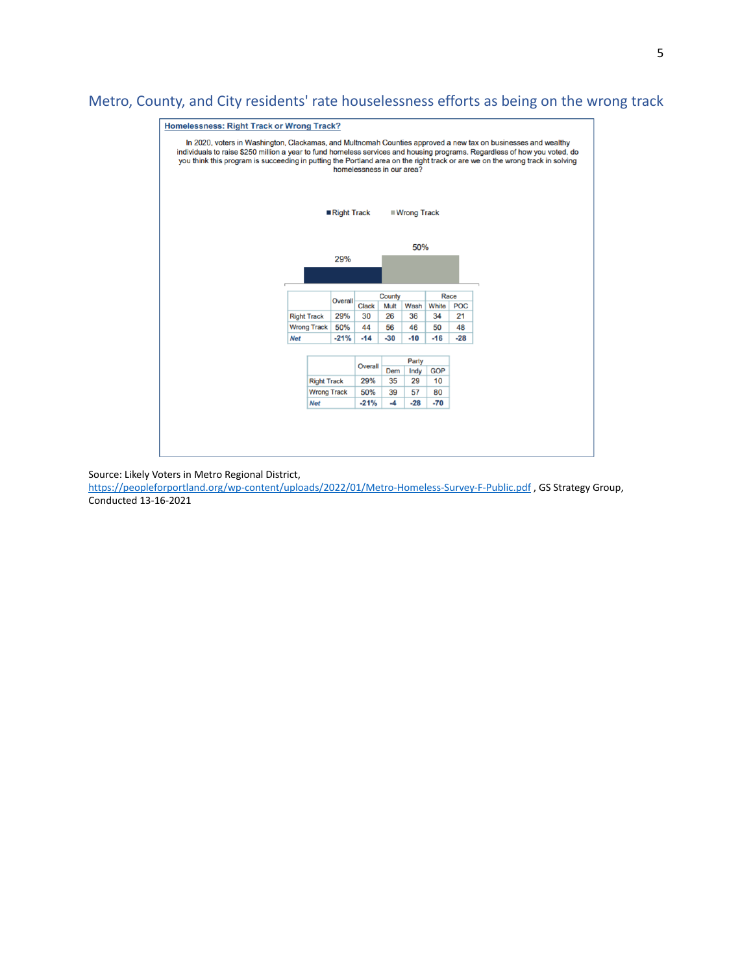## <span id="page-4-0"></span>Metro, County, and City residents' rate houselessness efforts as being on the wrong track



Source: Likely Voters in Metro Regional District,

<https://peopleforportland.org/wp-content/uploads/2022/01/Metro-Homeless-Survey-F-Public.pdf> , GS Strategy Group, Conducted 13-16-2021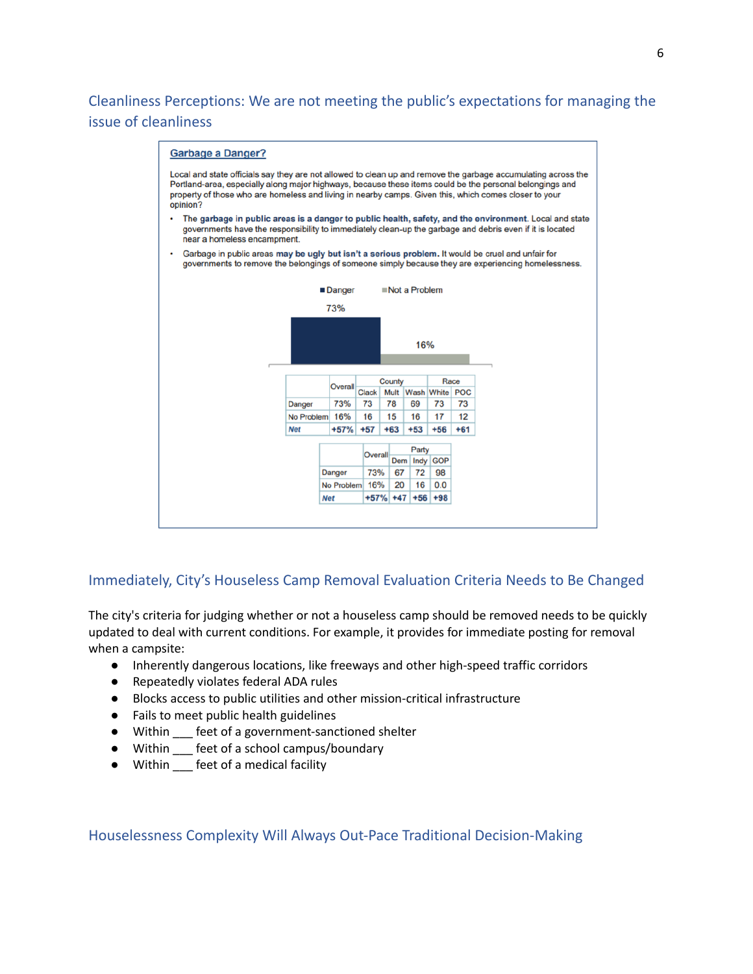<span id="page-5-0"></span>Cleanliness Perceptions: We are not meeting the public's expectations for managing the issue of cleanliness



### <span id="page-5-1"></span>Immediately, City's Houseless Camp Removal Evaluation Criteria Needs to Be Changed

The city's criteria for judging whether or not a houseless camp should be removed needs to be quickly updated to deal with current conditions. For example, it provides for immediate posting for removal when a campsite:

- Inherently dangerous locations, like freeways and other high-speed traffic corridors
- Repeatedly violates federal ADA rules
- Blocks access to public utilities and other mission-critical infrastructure
- Fails to meet public health guidelines
- Within \_\_\_ feet of a government-sanctioned shelter
- Within \_\_\_ feet of a school campus/boundary
- Within \_\_\_ feet of a medical facility

<span id="page-5-2"></span>Houselessness Complexity Will Always Out-Pace Traditional Decision-Making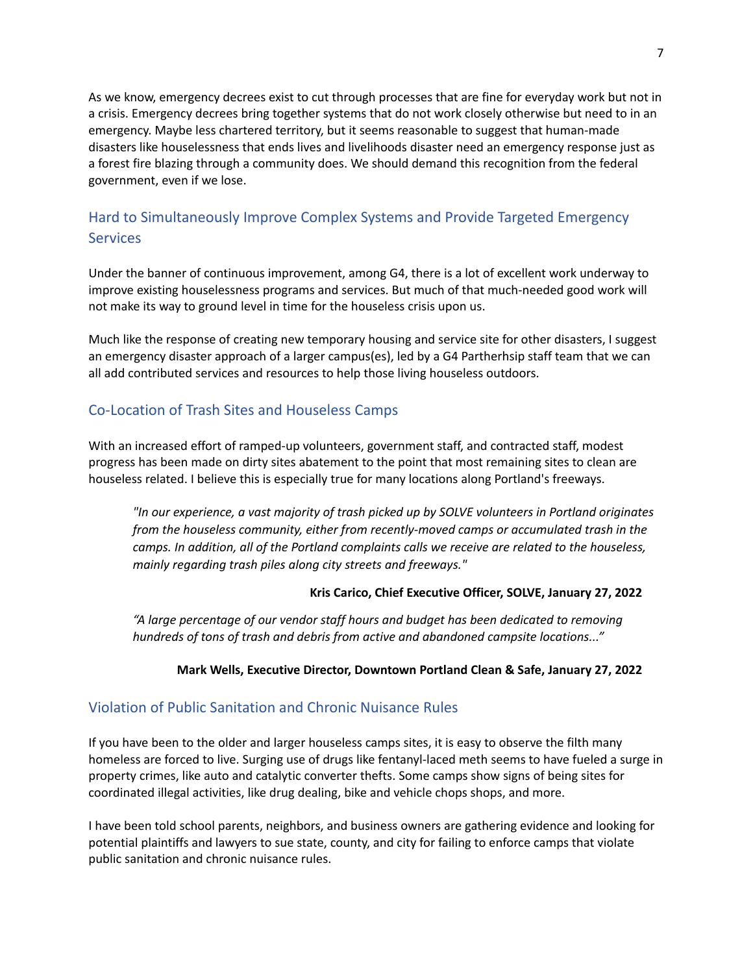As we know, emergency decrees exist to cut through processes that are fine for everyday work but not in a crisis. Emergency decrees bring together systems that do not work closely otherwise but need to in an emergency. Maybe less chartered territory, but it seems reasonable to suggest that human-made disasters like houselessness that ends lives and livelihoods disaster need an emergency response just as a forest fire blazing through a community does. We should demand this recognition from the federal government, even if we lose.

## <span id="page-6-0"></span>Hard to Simultaneously Improve Complex Systems and Provide Targeted Emergency **Services**

Under the banner of continuous improvement, among G4, there is a lot of excellent work underway to improve existing houselessness programs and services. But much of that much-needed good work will not make its way to ground level in time for the houseless crisis upon us.

Much like the response of creating new temporary housing and service site for other disasters, I suggest an emergency disaster approach of a larger campus(es), led by a G4 Partherhsip staff team that we can all add contributed services and resources to help those living houseless outdoors.

## <span id="page-6-1"></span>Co-Location of Trash Sites and Houseless Camps

With an increased effort of ramped-up volunteers, government staff, and contracted staff, modest progress has been made on dirty sites abatement to the point that most remaining sites to clean are houseless related. I believe this is especially true for many locations along Portland's freeways.

*"In our experience, a vast majority of trash picked up by SOLVE volunteers in Portland originates from the houseless community, either from recently-moved camps or accumulated trash in the camps. In addition, all of the Portland complaints calls we receive are related to the houseless, mainly regarding trash piles along city streets and freeways."*

### **Kris Carico, Chief Executive Officer, SOLVE, January 27, 2022**

*"A large percentage of our vendor staff hours and budget has been dedicated to removing hundreds of tons of trash and debris from active and abandoned campsite locations..."*

### **Mark Wells, Executive Director, Downtown Portland Clean & Safe, January 27, 2022**

### <span id="page-6-2"></span>Violation of Public Sanitation and Chronic Nuisance Rules

If you have been to the older and larger houseless camps sites, it is easy to observe the filth many homeless are forced to live. Surging use of drugs like fentanyl-laced meth seems to have fueled a surge in property crimes, like auto and catalytic converter thefts. Some camps show signs of being sites for coordinated illegal activities, like drug dealing, bike and vehicle chops shops, and more.

I have been told school parents, neighbors, and business owners are gathering evidence and looking for potential plaintiffs and lawyers to sue state, county, and city for failing to enforce camps that violate public sanitation and chronic nuisance rules.